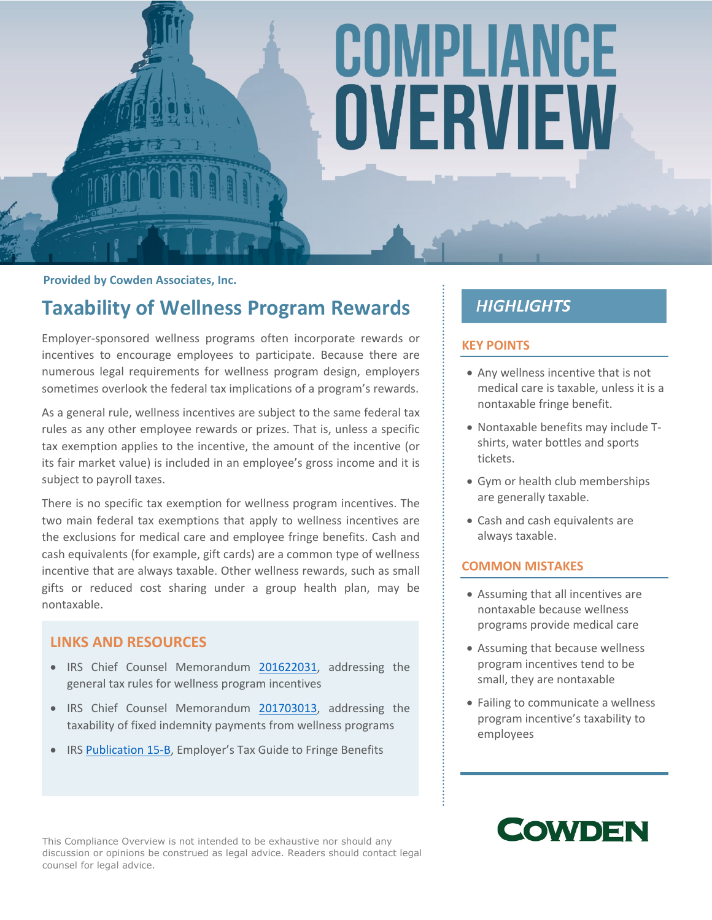# COMPLIANCE OVERVIEW

**Provided by Cowden Associates, Inc.**

### **Taxability of Wellness Program Rewards**

Employer-sponsored wellness programs often incorporate rewards or incentives to encourage employees to participate. Because there are numerous legal requirements for wellness program design, employers sometimes overlook the federal tax implications of a program's rewards.

As a general rule, wellness incentives are subject to the same federal tax rules as any other employee rewards or prizes. That is, unless a specific tax exemption applies to the incentive, the amount of the incentive (or its fair market value) is included in an employee's gross income and it is subject to payroll taxes.

There is no specific tax exemption for wellness program incentives. The two main federal tax exemptions that apply to wellness incentives are the exclusions for medical care and employee fringe benefits. Cash and cash equivalents (for example, gift cards) are a common type of wellness incentive that are always taxable. Other wellness rewards, such as small gifts or reduced cost sharing under a group health plan, may be nontaxable.

#### **LINKS AND RESOURCES**

- IRS Chief Counsel Memorandum [201622031,](https://www.irs.gov/pub/irs-wd/201622031.pdf) addressing the general tax rules for wellness program incentives
- IRS Chief Counsel Memorandum [201703013,](https://www.irs.gov/pub/irs-wd/201703013.pdf) addressing the taxability of fixed indemnity payments from wellness programs
- IRS [Publication](https://www.irs.gov/publications/p15b/ar02.html) 15-B, Employer's Tax Guide to Fringe Benefits

#### **HIGHLIGHTS**

#### **KEY POINTS**

- Any wellness incentive that is not medical care is taxable, unless it is a nontaxable fringe benefit.
- Nontaxable benefits may include Tshirts, water bottles and sports tickets.
- Gym or health club memberships are generally taxable.
- Cash and cash equivalents are always taxable.

#### **COMMON MISTAKES**

- Assuming that all incentives are nontaxable because wellness programs provide medical care
- Assuming that because wellness program incentives tend to be small, they are nontaxable
- Failing to communicate a wellness program incentive's taxability to employees

## **COWDEN**

This Compliance Overview is not intended to be exhaustive nor should any discussion or opinions be construed as legal advice. Readers should contact legal counsel for legal advice.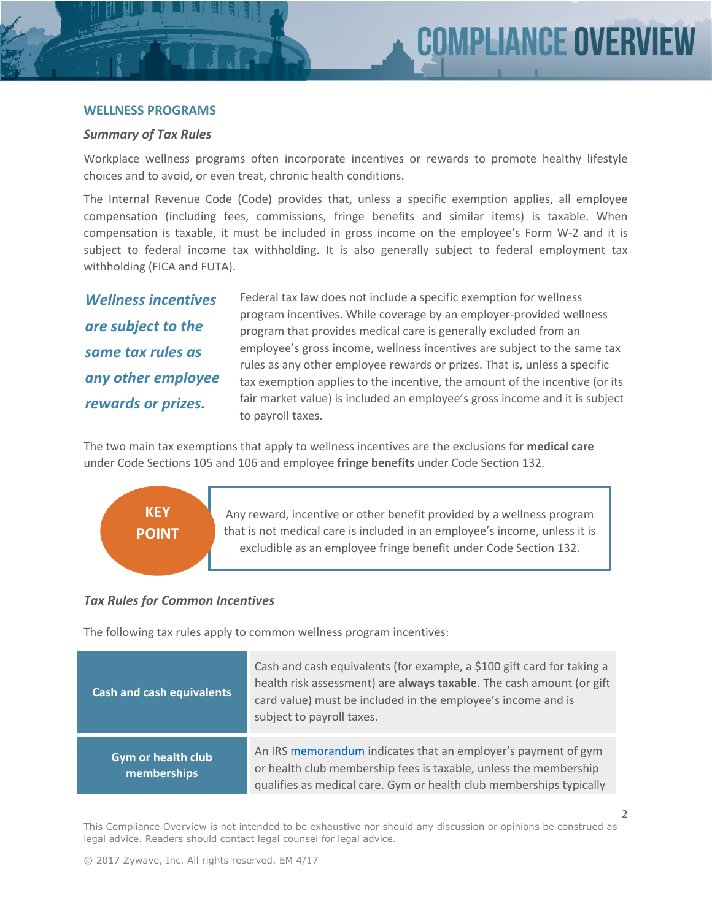#### **WELLNESS PROGRAMS**

#### *Summary of Tax Rules*

Workplace wellness programs often incorporate incentives or rewards to promote healthy lifestyle choices and to avoid, or even treat, chronic health conditions.

The Internal Revenue Code (Code) provides that, unless a specific exemption applies, all employee compensation (including fees, commissions, fringe benefits and similar items) is taxable. When compensation is taxable, it must be included in gross income on the employee's Form W-2 and it is subject to federal income tax withholding. It is also generally subject to federal employment tax withholding (FICA and FUTA).

*Wellness incentives are subject to the same tax rules as any other employee rewards or prizes.*

Federal tax law does not include a specific exemption for wellness program incentives. While coverage by an employer-provided wellness program that provides medical care is generally excluded from an employee's gross income, wellness incentives are subject to the same tax rules as any other employee rewards or prizes. That is, unless a specific tax exemption applies to the incentive, the amount of the incentive (or its fair market value) is included an employee's gross income and it is subject to payroll taxes.

The two main tax exemptions that apply to wellness incentives are the exclusions for **medical care** under Code Sections 105 and 106 and employee **fringe benefits** under Code Section 132.

## **KEY POINT**

Any reward, incentive or other benefit provided by a wellness program that is not medical care is included in an employee's income, unless it is excludible as an employee fringe benefit under Code Section 132.

#### *Tax Rules for Common Incentives*

The following tax rules apply to common wellness program incentives:

| <b>Cash and cash equivalents</b>         | Cash and cash equivalents (for example, a \$100 gift card for taking a<br>health risk assessment) are always taxable. The cash amount (or gift<br>card value) must be included in the employee's income and is<br>subject to payroll taxes. |
|------------------------------------------|---------------------------------------------------------------------------------------------------------------------------------------------------------------------------------------------------------------------------------------------|
| <b>Gym or health club</b><br>memberships | An IRS memorandum indicates that an employer's payment of gym<br>or health club membership fees is taxable, unless the membership<br>qualifies as medical care. Gym or health club memberships typically                                    |

This Compliance Overview is not intended to be exhaustive nor should any discussion or opinions be construed as legal advice. Readers should contact legal counsel for legal advice.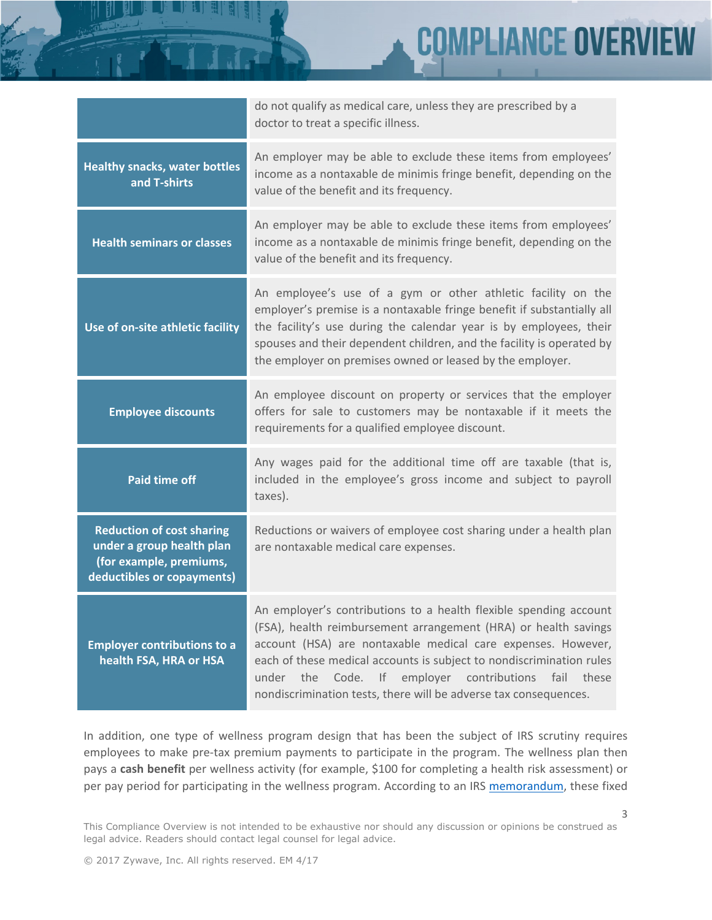**MPLIANCE OVER** 

|                                                                                                                        | do not qualify as medical care, unless they are prescribed by a<br>doctor to treat a specific illness.                                                                                                                                                                                                                                                                                                               |
|------------------------------------------------------------------------------------------------------------------------|----------------------------------------------------------------------------------------------------------------------------------------------------------------------------------------------------------------------------------------------------------------------------------------------------------------------------------------------------------------------------------------------------------------------|
| <b>Healthy snacks, water bottles</b><br>and T-shirts                                                                   | An employer may be able to exclude these items from employees'<br>income as a nontaxable de minimis fringe benefit, depending on the<br>value of the benefit and its frequency.                                                                                                                                                                                                                                      |
| <b>Health seminars or classes</b>                                                                                      | An employer may be able to exclude these items from employees'<br>income as a nontaxable de minimis fringe benefit, depending on the<br>value of the benefit and its frequency.                                                                                                                                                                                                                                      |
| Use of on-site athletic facility                                                                                       | An employee's use of a gym or other athletic facility on the<br>employer's premise is a nontaxable fringe benefit if substantially all<br>the facility's use during the calendar year is by employees, their<br>spouses and their dependent children, and the facility is operated by<br>the employer on premises owned or leased by the employer.                                                                   |
| <b>Employee discounts</b>                                                                                              | An employee discount on property or services that the employer<br>offers for sale to customers may be nontaxable if it meets the<br>requirements for a qualified employee discount.                                                                                                                                                                                                                                  |
| <b>Paid time off</b>                                                                                                   | Any wages paid for the additional time off are taxable (that is,<br>included in the employee's gross income and subject to payroll<br>taxes).                                                                                                                                                                                                                                                                        |
| <b>Reduction of cost sharing</b><br>under a group health plan<br>(for example, premiums,<br>deductibles or copayments) | Reductions or waivers of employee cost sharing under a health plan<br>are nontaxable medical care expenses.                                                                                                                                                                                                                                                                                                          |
| <b>Employer contributions to a</b><br>health FSA, HRA or HSA                                                           | An employer's contributions to a health flexible spending account<br>(FSA), health reimbursement arrangement (HRA) or health savings<br>account (HSA) are nontaxable medical care expenses. However,<br>each of these medical accounts is subject to nondiscrimination rules<br>Code. If employer contributions<br>fail<br>under<br>the<br>these<br>nondiscrimination tests, there will be adverse tax consequences. |

In addition, one type of wellness program design that has been the subject of IRS scrutiny requires employees to make pre-tax premium payments to participate in the program. The wellness plan then pays a **cash benefit** per wellness activity (for example, \$100 for completing a health risk assessment) or per pay period for participating in the wellness program. According to an IRS [memorandum,](https://www.irs.gov/pub/irs-wd/201703013.pdf) these fixed

This Compliance Overview is not intended to be exhaustive nor should any discussion or opinions be construed as legal advice. Readers should contact legal counsel for legal advice.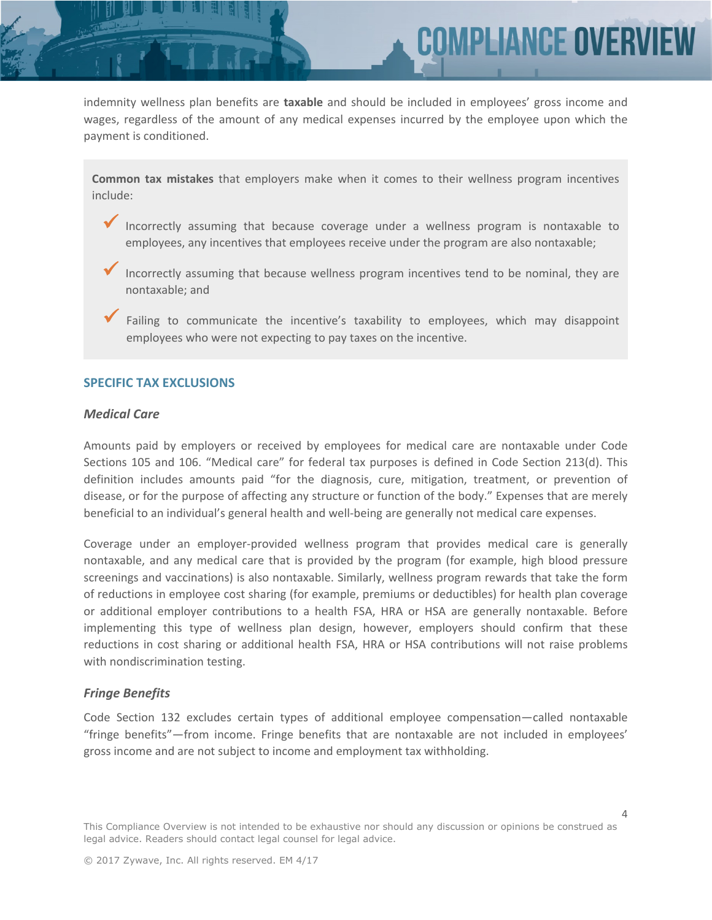indemnity wellness plan benefits are **taxable** and should be included in employees' gross income and wages, regardless of the amount of any medical expenses incurred by the employee upon which the payment is conditioned.

**COMPLIANCE OVERV** 

**Common tax mistakes** that employers make when it comes to their wellness program incentives include:

- Incorrectly assuming that because coverage under a wellness program is nontaxable to employees, any incentives that employees receive under the program are also nontaxable;
	- Incorrectly assuming that because wellness program incentives tend to be nominal, they are nontaxable; and
	- Failing to communicate the incentive's taxability to employees, which may disappoint employees who were not expecting to pay taxes on the incentive.

#### **SPECIFIC TAX EXCLUSIONS**

#### *Medical Care*

Amounts paid by employers or received by employees for medical care are nontaxable under Code Sections 105 and 106. "Medical care" for federal tax purposes is defined in Code Section 213(d). This definition includes amounts paid "for the diagnosis, cure, mitigation, treatment, or prevention of disease, or for the purpose of affecting any structure or function of the body." Expenses that are merely beneficial to an individual's general health and well-being are generally not medical care expenses.

Coverage under an employer-provided wellness program that provides medical care is generally nontaxable, and any medical care that is provided by the program (for example, high blood pressure screenings and vaccinations) is also nontaxable. Similarly, wellness program rewards that take the form of reductions in employee cost sharing (for example, premiums or deductibles) for health plan coverage or additional employer contributions to a health FSA, HRA or HSA are generally nontaxable. Before implementing this type of wellness plan design, however, employers should confirm that these reductions in cost sharing or additional health FSA, HRA or HSA contributions will not raise problems with nondiscrimination testing.

#### *Fringe Benefits*

Code Section 132 excludes certain types of additional employee compensation—called nontaxable "fringe benefits"—from income. Fringe benefits that are nontaxable are not included in employees' gross income and are not subject to income and employment tax withholding.

This Compliance Overview is not intended to be exhaustive nor should any discussion or opinions be construed as legal advice. Readers should contact legal counsel for legal advice.